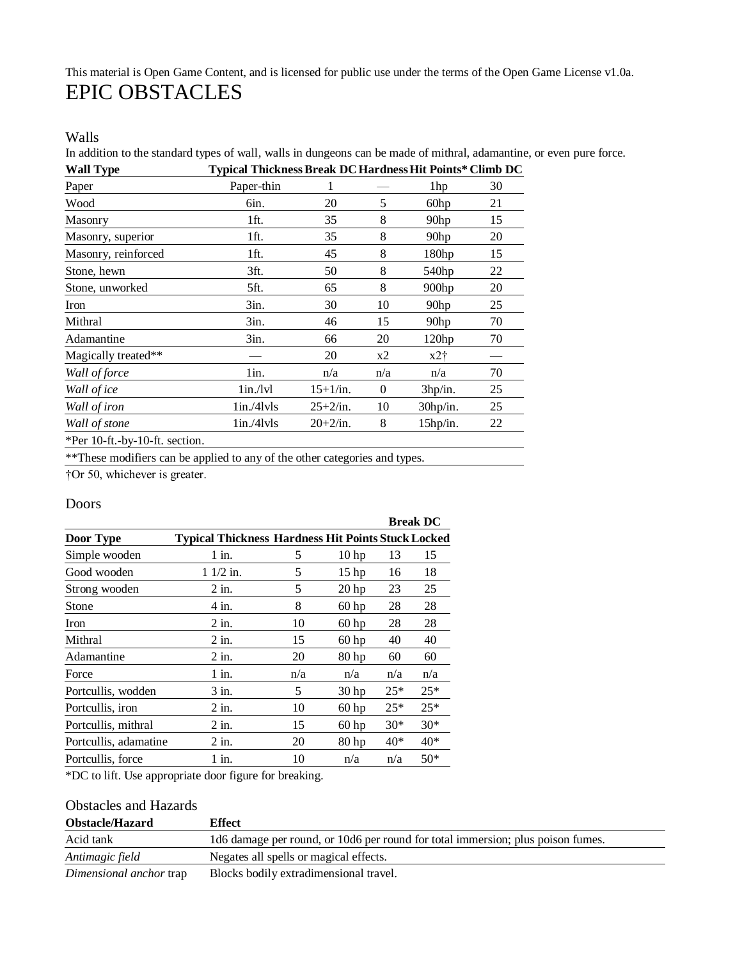# This material is Open Game Content, and is licensed for public use under the terms of the Open Game License v1.0a. EPIC OBSTACLES

#### Walls

In addition to the standard types of wall*,* walls in dungeons can be made of mithral, adamantine, or even pure force. **Wall Type Typical ThicknessBreak DCHardnessHit Points\* Climb DC**

| Paper                                      | Paper-thin |            |                | 1hp               | 30 |
|--------------------------------------------|------------|------------|----------------|-------------------|----|
| Wood                                       | 6in.       | 20         | 5              | 60hp              | 21 |
| Masonry                                    | 1ft.       | 35         | 8              | 90 <sub>hp</sub>  | 15 |
| Masonry, superior                          | 1ft.       | 35         | 8              | 90 <sub>hp</sub>  | 20 |
| Masonry, reinforced                        | 1ft.       | 45         | 8              | 180 <sub>hp</sub> | 15 |
| Stone, hewn                                | 3ft.       | 50         | 8              | 540hp             | 22 |
| Stone, unworked                            | 5ft.       | 65         | 8              | $900$ hp          | 20 |
| Iron                                       | 3in.       | 30         | 10             | 90 <sub>hp</sub>  | 25 |
| Mithral                                    | 3in.       | 46         | 15             | 90 <sub>hp</sub>  | 70 |
| Adamantine                                 | 3in.       | 66         | 20             | 120hp             | 70 |
| Magically treated**                        |            | 20         | x2             | $x2$ †            |    |
| Wall of force                              | 1in.       | n/a        | n/a            | n/a               | 70 |
| Wall of ice                                | 1in./lvl   | $15+1/in.$ | $\overline{0}$ | 3hp/in.           | 25 |
| Wall of iron                               | 1in./41vls | $25+2/in.$ | 10             | 30hp/in.          | 25 |
| Wall of stone                              | 1in./41vls | $20+2/in.$ | 8              | $15$ hp/in.       | 22 |
| $\&D_{\alpha\alpha}10.4$ ky $10.4$ coofian |            |            |                |                   |    |

\*Per 10-ft.-by-10-ft. section.

\*\*These modifiers can be applied to any of the other categories and types.

†Or 50, whichever is greater.

#### Doors

|                       |                                                           |     |                  |       | <b>Break DC</b> |
|-----------------------|-----------------------------------------------------------|-----|------------------|-------|-----------------|
| Door Type             | <b>Typical Thickness Hardness Hit Points Stuck Locked</b> |     |                  |       |                 |
| Simple wooden         | $1$ in.                                                   | 5   | 10 <sub>hp</sub> | 13    | 15              |
| Good wooden           | $11/2$ in.                                                | 5   | 15 <sub>hp</sub> | 16    | 18              |
| Strong wooden         | 2 in.                                                     | 5   | 20 <sub>hp</sub> | 23    | 25              |
| Stone                 | 4 in.                                                     | 8   | $60$ hp          | 28    | 28              |
| Iron                  | $2$ in.                                                   | 10  | $60$ hp          | 28    | 28              |
| Mithral               | $2$ in.                                                   | 15  | 60 <sub>hp</sub> | 40    | 40              |
| Adamantine            | $2$ in.                                                   | 20  | 80 <sub>hp</sub> | 60    | 60              |
| Force                 | $1$ in.                                                   | n/a | n/a              | n/a   | n/a             |
| Portcullis, wodden    | 3 in.                                                     | 5   | 30 <sub>hp</sub> | $25*$ | $25*$           |
| Portcullis, iron      | $2$ in.                                                   | 10  | $60$ hp          | $25*$ | $25*$           |
| Portcullis, mithral   | $2$ in.                                                   | 15  | $60$ hp          | $30*$ | $30*$           |
| Portcullis, adamatine | $2$ in.                                                   | 20  | 80 <sub>hp</sub> | 40*   | 40*             |
| Portcullis, force     | 1 in.                                                     | 10  | n/a              | n/a   | $50*$           |

\*DC to lift. Use appropriate door figure for breaking.

### Obstacles and Hazards

| <b>Obstacle/Hazard</b>  | <b>Effect</b>                                                                   |
|-------------------------|---------------------------------------------------------------------------------|
| Acid tank               | 1d6 damage per round, or 10d6 per round for total immersion; plus poison fumes. |
| Antimagic field         | Negates all spells or magical effects.                                          |
| Dimensional anchor trap | Blocks bodily extradimensional travel.                                          |